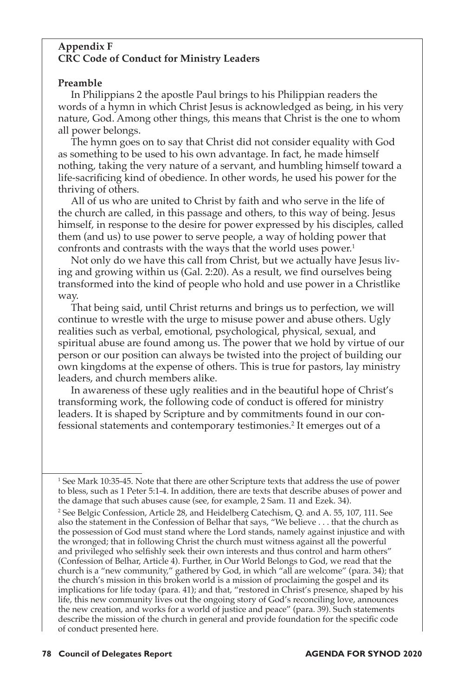#### **Appendix F CRC Code of Conduct for Ministry Leaders**

#### **Preamble**

In Philippians 2 the apostle Paul brings to his Philippian readers the words of a hymn in which Christ Jesus is acknowledged as being, in his very nature, God. Among other things, this means that Christ is the one to whom all power belongs.

The hymn goes on to say that Christ did not consider equality with God as something to be used to his own advantage. In fact, he made himself nothing, taking the very nature of a servant, and humbling himself toward a life-sacrificing kind of obedience. In other words, he used his power for the thriving of others.

All of us who are united to Christ by faith and who serve in the life of the church are called, in this passage and others, to this way of being. Jesus himself, in response to the desire for power expressed by his disciples, called them (and us) to use power to serve people, a way of holding power that confronts and contrasts with the ways that the world uses power.<sup>1</sup>

Not only do we have this call from Christ, but we actually have Jesus living and growing within us (Gal. 2:20). As a result, we find ourselves being transformed into the kind of people who hold and use power in a Christlike way.

That being said, until Christ returns and brings us to perfection, we will continue to wrestle with the urge to misuse power and abuse others. Ugly realities such as verbal, emotional, psychological, physical, sexual, and spiritual abuse are found among us. The power that we hold by virtue of our person or our position can always be twisted into the project of building our own kingdoms at the expense of others. This is true for pastors, lay ministry leaders, and church members alike.

In awareness of these ugly realities and in the beautiful hope of Christ's transforming work, the following code of conduct is offered for ministry leaders. It is shaped by Scripture and by commitments found in our confessional statements and contemporary testimonies.2 It emerges out of a

<sup>1</sup> See Mark 10:35-45. Note that there are other Scripture texts that address the use of power to bless, such as 1 Peter 5:1-4. In addition, there are texts that describe abuses of power and the damage that such abuses cause (see, for example, 2 Sam. 11 and Ezek. 34).

<sup>2</sup> See Belgic Confession, Article 28, and Heidelberg Catechism, Q. and A. 55, 107, 111. See also the statement in the Confession of Belhar that says, "We believe . . . that the church as the possession of God must stand where the Lord stands, namely against injustice and with the wronged; that in following Christ the church must witness against all the powerful and privileged who selfishly seek their own interests and thus control and harm others" (Confession of Belhar, Article 4). Further, in Our World Belongs to God, we read that the church is a "new community," gathered by God, in which "all are welcome" (para. 34); that the church's mission in this broken world is a mission of proclaiming the gospel and its implications for life today (para. 41); and that, "restored in Christ's presence, shaped by his life, this new community lives out the ongoing story of God's reconciling love, announces the new creation, and works for a world of justice and peace" (para. 39). Such statements describe the mission of the church in general and provide foundation for the specific code of conduct presented here.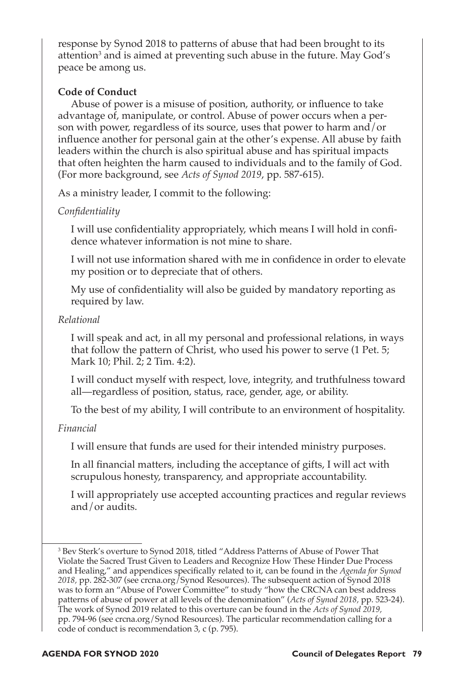response by Synod 2018 to patterns of abuse that had been brought to its attention $^3$  and is aimed at preventing such abuse in the future. May God's peace be among us.

#### **Code of Conduct**

Abuse of power is a misuse of position, authority, or influence to take advantage of, manipulate, or control. Abuse of power occurs when a person with power, regardless of its source, uses that power to harm and/or influence another for personal gain at the other's expense. All abuse by faith leaders within the church is also spiritual abuse and has spiritual impacts that often heighten the harm caused to individuals and to the family of God. (For more background, see *Acts of Synod 2019*, pp. 587-615).

As a ministry leader, I commit to the following:

# *Confidentiality*

 I will use confidentiality appropriately, which means I will hold in confidence whatever information is not mine to share.

 I will not use information shared with me in confidence in order to elevate my position or to depreciate that of others.

 My use of confidentiality will also be guided by mandatory reporting as required by law.

*Relational*

I will speak and act, in all my personal and professional relations, in ways that follow the pattern of Christ, who used his power to serve (1 Pet. 5; Mark 10; Phil. 2; 2 Tim. 4:2).

I will conduct myself with respect, love, integrity, and truthfulness toward all—regardless of position, status, race, gender, age, or ability.

To the best of my ability, I will contribute to an environment of hospitality.

*Financial*

I will ensure that funds are used for their intended ministry purposes.

 In all financial matters, including the acceptance of gifts, I will act with scrupulous honesty, transparency, and appropriate accountability.

I will appropriately use accepted accounting practices and regular reviews and/or audits.

<sup>3</sup> Bev Sterk's overture to Synod 2018, titled "Address Patterns of Abuse of Power That Violate the Sacred Trust Given to Leaders and Recognize How These Hinder Due Process and Healing," and appendices specifically related to it, can be found in the *Agenda for Synod 2018,* pp. 282-307 (see crcna.org/Synod Resources). The subsequent action of Synod 2018 was to form an "Abuse of Power Committee" to study "how the CRCNA can best address patterns of abuse of power at all levels of the denomination" (*Acts of Synod 2018,* pp. 523-24). The work of Synod 2019 related to this overture can be found in the *Acts of Synod 2019,*  pp. 794-96 (see crcna.org/Synod Resources). The particular recommendation calling for a code of conduct is recommendation 3, c (p. 795).